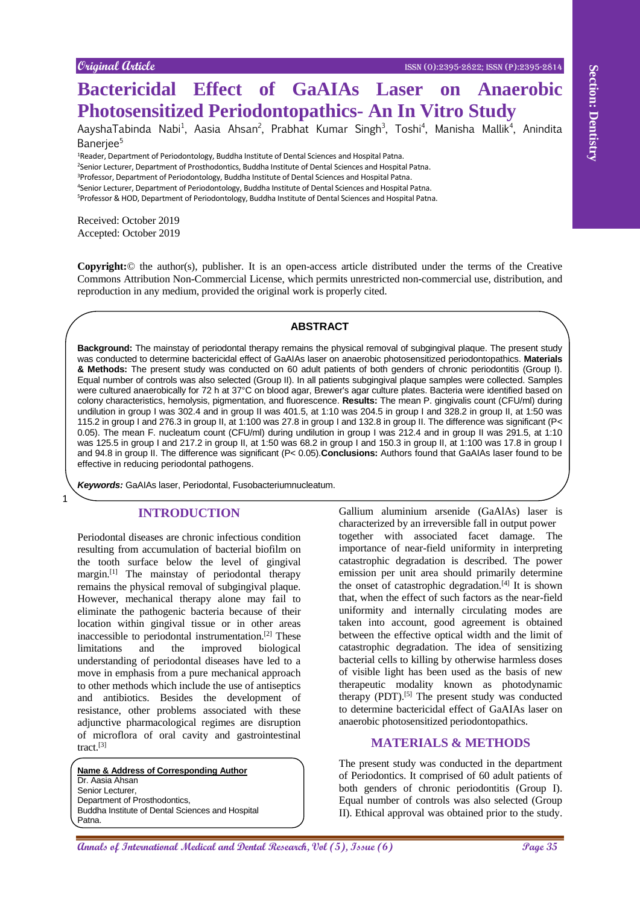# **Bactericidal Effect of GaAIAs Laser on Anaerobic Photosensitized Periodontopathics- An In Vitro Study**

AayshaTabinda Nabi<sup>1</sup>, Aasia Ahsan<sup>2</sup>, Prabhat Kumar Singh<sup>3</sup>, Toshi<sup>4</sup>, Manisha Mallik<sup>4</sup>, Anindita Banerjee<sup>5</sup>

<sup>1</sup>Reader, Department of Periodontology, Buddha Institute of Dental Sciences and Hospital Patna.

<sup>2</sup>Senior Lecturer, Department of Prosthodontics, Buddha Institute of Dental Sciences and Hospital Patna.

<sup>3</sup>Professor, Department of Periodontology, Buddha Institute of Dental Sciences and Hospital Patna.

<sup>4</sup>Senior Lecturer, Department of Periodontology, Buddha Institute of Dental Sciences and Hospital Patna.

<sup>5</sup>Professor & HOD, Department of Periodontology, Buddha Institute of Dental Sciences and Hospital Patna.

Received: October 2019 Accepted: October 2019

1

**Copyright:**© the author(s), publisher. It is an open-access article distributed under the terms of the Creative Commons Attribution Non-Commercial License, which permits unrestricted non-commercial use, distribution, and reproduction in any medium, provided the original work is properly cited.

#### **ABSTRACT**

**EXERCT CONSULTER CONSULTER CONSULTER CONSULTER CONSULTER CONSULTER CONSULTER CONSULTER CONSULTER CONSULTER CONSULTER CONSULTER CONSULTER CONSULTER CONSULTER CONSULTER CONSULTER CONSULTER CONSULTER CONSULTER CONSULTER CONS Background:** The mainstay of periodontal therapy remains the physical removal of subgingival plaque. The present study was conducted to determine bactericidal effect of GaAIAs laser on anaerobic photosensitized periodontopathics. **Materials & Methods:** The present study was conducted on 60 adult patients of both genders of chronic periodontitis (Group I). Equal number of controls was also selected (Group II). In all patients subgingival plaque samples were collected. Samples were cultured anaerobically for 72 h at 37°C on blood agar, Brewer's agar culture plates. Bacteria were identified based on colony characteristics, hemolysis, pigmentation, and fluorescence. **Results:** The mean P. gingivalis count (CFU/ml) during undilution in group I was 302.4 and in group II was 401.5, at 1:10 was 204.5 in group I and 328.2 in group II, at 1:50 was 115.2 in group I and 276.3 in group II, at 1:100 was 27.8 in group I and 132.8 in group II. The difference was significant (P< 0.05). The mean F. nucleatum count (CFU/ml) during undilution in group I was 212.4 and in group II was 291.5, at 1:10 was 125.5 in group I and 217.2 in group II, at 1:50 was 68.2 in group I and 150.3 in group II, at 1:100 was 17.8 in group I and 94.8 in group II. The difference was significant (P< 0.05).**Conclusions:** Authors found that GaAIAs laser found to be effective in reducing periodontal pathogens.

*Keywords:* GaAIAs laser, Periodontal, Fusobacteriumnucleatum.

## **INTRODUCTION**

Periodontal diseases are chronic infectious condition resulting from accumulation of bacterial biofilm on the tooth surface below the level of gingival margin.[1] The mainstay of periodontal therapy remains the physical removal of subgingival plaque. However, mechanical therapy alone may fail to eliminate the pathogenic bacteria because of their location within gingival tissue or in other areas inaccessible to periodontal instrumentation.[2] These limitations and the improved biological understanding of periodontal diseases have led to a move in emphasis from a pure mechanical approach to other methods which include the use of antiseptics and antibiotics. Besides the development of resistance, other problems associated with these adjunctive pharmacological regimes are disruption of microflora of oral cavity and gastrointestinal tract.<sup>[3]</sup>

**Name & Address of Corresponding Author** Dr. Aasia Ahsan Senior Lecturer Department of Prosthodontics, Buddha Institute of Dental Sciences and Hospital Patna.

Gallium aluminium arsenide (GaAlAs) laser is characterized by an irreversible fall in output power together with associated facet damage. The importance of near-field uniformity in interpreting catastrophic degradation is described. The power emission per unit area should primarily determine the onset of catastrophic degradation.[4] It is shown that, when the effect of such factors as the near-field uniformity and internally circulating modes are taken into account, good agreement is obtained between the effective optical width and the limit of catastrophic degradation. The idea of sensitizing bacterial cells to killing by otherwise harmless doses of visible light has been used as the basis of new therapeutic modality known as photodynamic therapy  $(PDT)$ .<sup>[5]</sup> The present study was conducted to determine bactericidal effect of GaAIAs laser on anaerobic photosensitized periodontopathics.

## **MATERIALS & METHODS**

The present study was conducted in the department of Periodontics. It comprised of 60 adult patients of both genders of chronic periodontitis (Group I). Equal number of controls was also selected (Group II). Ethical approval was obtained prior to the study.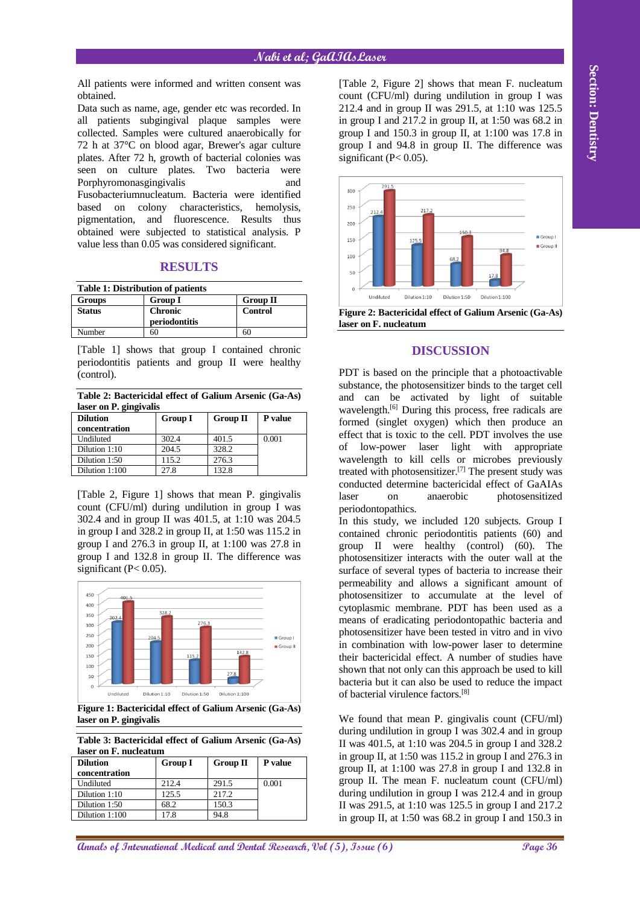## **Nabi et al; GaAIAsLaser**

All patients were informed and written consent was obtained.

Data such as name, age, gender etc was recorded. In all patients subgingival plaque samples were collected. Samples were cultured anaerobically for 72 h at 37°C on blood agar, Brewer's agar culture plates. After 72 h, growth of bacterial colonies was seen on culture plates. Two bacteria were Porphyromonasgingivalis and Fusobacteriumnucleatum. Bacteria were identified based on colony characteristics, hemolysis, pigmentation, and fluorescence. Results thus obtained were subjected to statistical analysis. P value less than 0.05 was considered significant.

## **RESULTS**

| <b>Table 1: Distribution of patients</b> |                                 |                 |  |  |
|------------------------------------------|---------------------------------|-----------------|--|--|
| <b>Groups</b>                            | <b>Group I</b>                  | <b>Group II</b> |  |  |
| <b>Status</b>                            | <b>Chronic</b><br>periodontitis | Control         |  |  |
| Number                                   | 60                              |                 |  |  |

[Table 1] shows that group I contained chronic periodontitis patients and group II were healthy (control).

**Table 2: Bactericidal effect of Galium Arsenic (Ga-As) laser on P. gingivalis**

| $\sim$<br><b>Dilution</b> | <b>Group I</b> | <b>Group II</b> | P value |
|---------------------------|----------------|-----------------|---------|
| concentration             |                |                 |         |
| Undiluted                 | 302.4          | 401.5           | 0.001   |
| Dilution 1:10             | 204.5          | 328.2           |         |
| Dilution 1:50             | 115.2          | 276.3           |         |
| Dilution 1:100            | 27.8           | 132.8           |         |

[Table 2, Figure 1] shows that mean P. gingivalis count (CFU/ml) during undilution in group I was 302.4 and in group II was 401.5, at 1:10 was 204.5 in group I and 328.2 in group II, at 1:50 was 115.2 in group I and  $276.3$  in group II, at 1:100 was  $27.8$  in group I and 132.8 in group II. The difference was significant ( $P < 0.05$ ).



**Figure 1: Bactericidal effect of Galium Arsenic (Ga-As) laser on P. gingivalis**

**Table 3: Bactericidal effect of Galium Arsenic (Ga-As) laser on F. nucleatum**

| мэсг он 1 : наскашн |                |                 |                |  |
|---------------------|----------------|-----------------|----------------|--|
| <b>Dilution</b>     | <b>Group I</b> | <b>Group II</b> | <b>P</b> value |  |
| concentration       |                |                 |                |  |
| Undiluted           | 212.4          | 291.5           | 0.001          |  |
| Dilution 1:10       | 125.5          | 217.2           |                |  |
| Dilution 1:50       | 68.2           | 150.3           |                |  |
| Dilution 1:100      | 17.8           | 94.8            |                |  |

[Table 2, Figure 2] shows that mean F. nucleatum count (CFU/ml) during undilution in group I was 212.4 and in group II was 291.5, at 1:10 was 125.5 in group I and  $217.2$  in group II, at 1:50 was  $68.2$  in group I and  $150.3$  in group II, at 1:100 was 17.8 in group I and 94.8 in group II. The difference was significant ( $P < 0.05$ ).



**Figure 2: Bactericidal effect of Galium Arsenic (Ga-As) laser on F. nucleatum**

## **DISCUSSION**

PDT is based on the principle that a photoactivable substance, the photosensitizer binds to the target cell and can be activated by light of suitable wavelength.<sup>[6]</sup> During this process, free radicals are formed (singlet oxygen) which then produce an effect that is toxic to the cell. PDT involves the use of low-power laser light with appropriate wavelength to kill cells or microbes previously treated with photosensitizer.[7] The present study was conducted determine bactericidal effect of GaAIAs laser on anaerobic photosensitized periodontopathics.

All paints were informed unit website of International Page 31 also as a section of International Benefits and Dental Actual 2013 and Dental Actual 2013 and Dental Research, O. Section 2013 and Dental Research, O. Section In this study, we included 120 subjects. Group I contained chronic periodontitis patients (60) and group II were healthy (control) (60). The photosensitizer interacts with the outer wall at the surface of several types of bacteria to increase their permeability and allows a significant amount of photosensitizer to accumulate at the level of cytoplasmic membrane. PDT has been used as a means of eradicating periodontopathic bacteria and photosensitizer have been tested in vitro and in vivo in combination with low-power laser to determine their bactericidal effect. A number of studies have shown that not only can this approach be used to kill bacteria but it can also be used to reduce the impact of bacterial virulence factors.[8]

We found that mean P. gingivalis count (CFU/ml) during undilution in group I was 302.4 and in group II was 401.5, at 1:10 was 204.5 in group I and 328.2 in group II, at 1:50 was 115.2 in group I and 276.3 in group II, at  $1:100$  was 27.8 in group I and  $132.8$  in group II. The mean F. nucleatum count (CFU/ml) during undilution in group I was 212.4 and in group II was 291.5, at 1:10 was 125.5 in group I and 217.2 in group II, at 1:50 was 68.2 in group I and 150.3 in